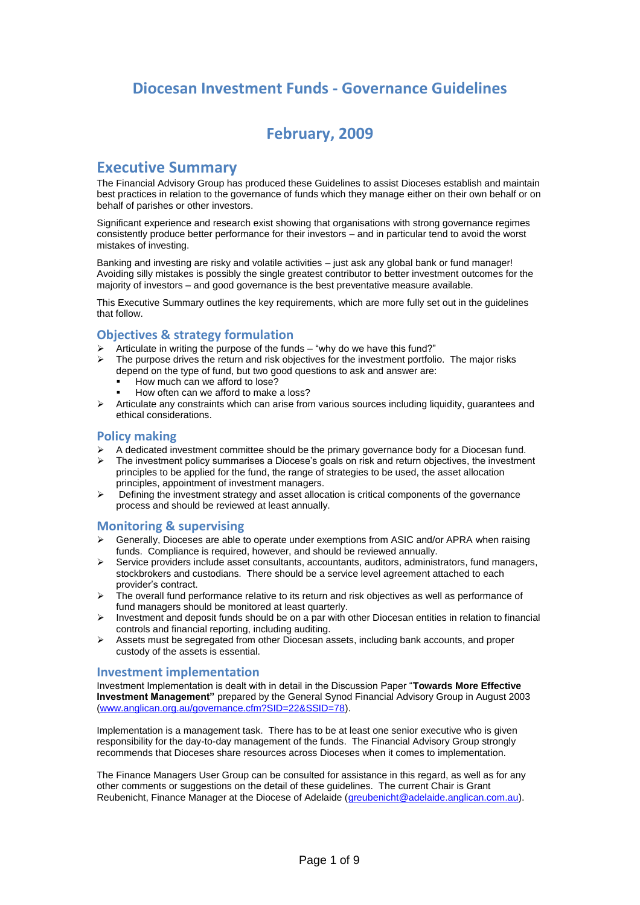### **Diocesan Investment Funds - Governance Guidelines**

### **February, 2009**

### **Executive Summary**

The Financial Advisory Group has produced these Guidelines to assist Dioceses establish and maintain best practices in relation to the governance of funds which they manage either on their own behalf or on behalf of parishes or other investors.

Significant experience and research exist showing that organisations with strong governance regimes consistently produce better performance for their investors – and in particular tend to avoid the worst mistakes of investing.

Banking and investing are risky and volatile activities – just ask any global bank or fund manager! Avoiding silly mistakes is possibly the single greatest contributor to better investment outcomes for the majority of investors – and good governance is the best preventative measure available.

This Executive Summary outlines the key requirements, which are more fully set out in the guidelines that follow.

#### **Objectives & strategy formulation**

- Articulate in writing the purpose of the funds "why do we have this fund?"
- The purpose drives the return and risk objectives for the investment portfolio. The major risks depend on the type of fund, but two good questions to ask and answer are:
	- How much can we afford to lose?
	- How often can we afford to make a loss?
- $\triangleright$  Articulate any constraints which can arise from various sources including liquidity, guarantees and ethical considerations.

#### **Policy making**

- A dedicated investment committee should be the primary governance body for a Diocesan fund.
- $\triangleright$  The investment policy summarises a Diocese's goals on risk and return objectives, the investment principles to be applied for the fund, the range of strategies to be used, the asset allocation principles, appointment of investment managers.
- $\triangleright$  Defining the investment strategy and asset allocation is critical components of the governance process and should be reviewed at least annually.

#### **Monitoring & supervising**

- Generally, Dioceses are able to operate under exemptions from ASIC and/or APRA when raising funds. Compliance is required, however, and should be reviewed annually.
- $\triangleright$  Service providers include asset consultants, accountants, auditors, administrators, fund managers, stockbrokers and custodians. There should be a service level agreement attached to each provider's contract.
- The overall fund performance relative to its return and risk objectives as well as performance of fund managers should be monitored at least quarterly.
- $\triangleright$  Investment and deposit funds should be on a par with other Diocesan entities in relation to financial controls and financial reporting, including auditing.
- $\triangleright$  Assets must be segregated from other Diocesan assets, including bank accounts, and proper custody of the assets is essential.

#### **Investment implementation**

Investment Implementation is dealt with in detail in the Discussion Paper "**Towards More Effective Investment Management"** prepared by the General Synod Financial Advisory Group in August 2003 [\(www.anglican.org.au/governance.cfm?SID=22&SSID=78\)](http://www.anglican.org.au/governance.cfm?SID=22&SSID=78).

Implementation is a management task. There has to be at least one senior executive who is given responsibility for the day-to-day management of the funds. The Financial Advisory Group strongly recommends that Dioceses share resources across Dioceses when it comes to implementation.

The Finance Managers User Group can be consulted for assistance in this regard, as well as for any other comments or suggestions on the detail of these guidelines. The current Chair is Grant Reubenicht, Finance Manager at the Diocese of Adelaide [\(greubenicht@adelaide.anglican.com.au\)](mailto:greubenicht@adelaide.anglican.com.au).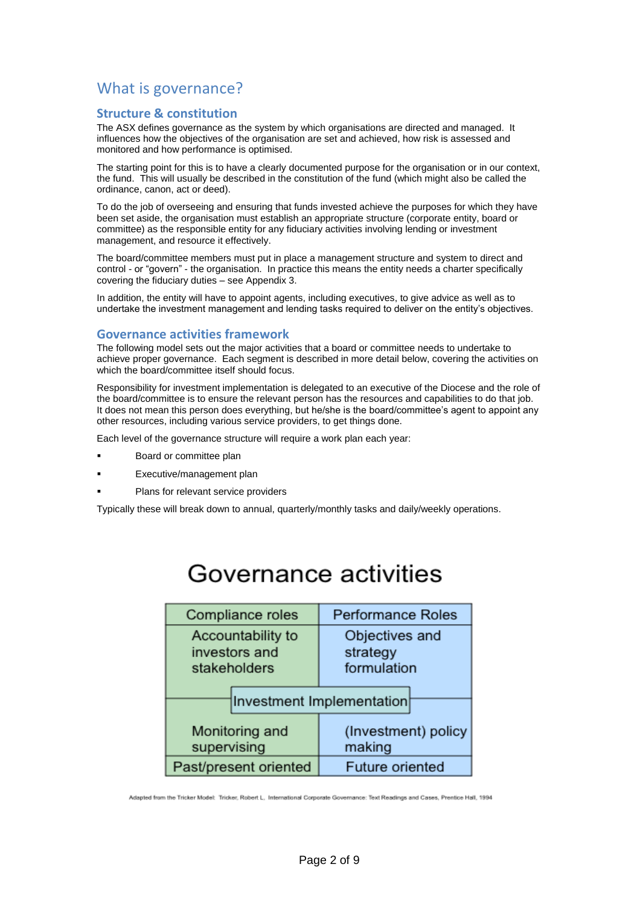# What is governance?

#### **Structure & constitution**

The ASX defines governance as the system by which organisations are directed and managed. It influences how the objectives of the organisation are set and achieved, how risk is assessed and monitored and how performance is optimised.

The starting point for this is to have a clearly documented purpose for the organisation or in our context, the fund. This will usually be described in the constitution of the fund (which might also be called the ordinance, canon, act or deed).

To do the job of overseeing and ensuring that funds invested achieve the purposes for which they have been set aside, the organisation must establish an appropriate structure (corporate entity, board or committee) as the responsible entity for any fiduciary activities involving lending or investment management, and resource it effectively.

The board/committee members must put in place a management structure and system to direct and control - or "govern" - the organisation. In practice this means the entity needs a charter specifically covering the fiduciary duties – see Appendix 3.

In addition, the entity will have to appoint agents, including executives, to give advice as well as to undertake the investment management and lending tasks required to deliver on the entity's objectives.

#### **Governance activities framework**

The following model sets out the major activities that a board or committee needs to undertake to achieve proper governance. Each segment is described in more detail below, covering the activities on which the board/committee itself should focus.

Responsibility for investment implementation is delegated to an executive of the Diocese and the role of the board/committee is to ensure the relevant person has the resources and capabilities to do that job. It does not mean this person does everything, but he/she is the board/committee's agent to appoint any other resources, including various service providers, to get things done.

Each level of the governance structure will require a work plan each year:

- Board or committee plan
- Executive/management plan
- Plans for relevant service providers

Typically these will break down to annual, quarterly/monthly tasks and daily/weekly operations.

| Compliance roles                                   | <b>Performance Roles</b>                  |
|----------------------------------------------------|-------------------------------------------|
| Accountability to<br>investors and<br>stakeholders | Objectives and<br>strategy<br>formulation |
|                                                    | <b>Investment Implementation</b>          |
| Monitoring and<br>supervising                      | (Investment) policy<br>making             |
| Past/present oriented                              | <b>Future oriented</b>                    |

# Governance activities

Adapted from the Tricker Model: Tricker, Robert L. International Corporate Governance: Text Readings and Cases, Prentice Hall, 1994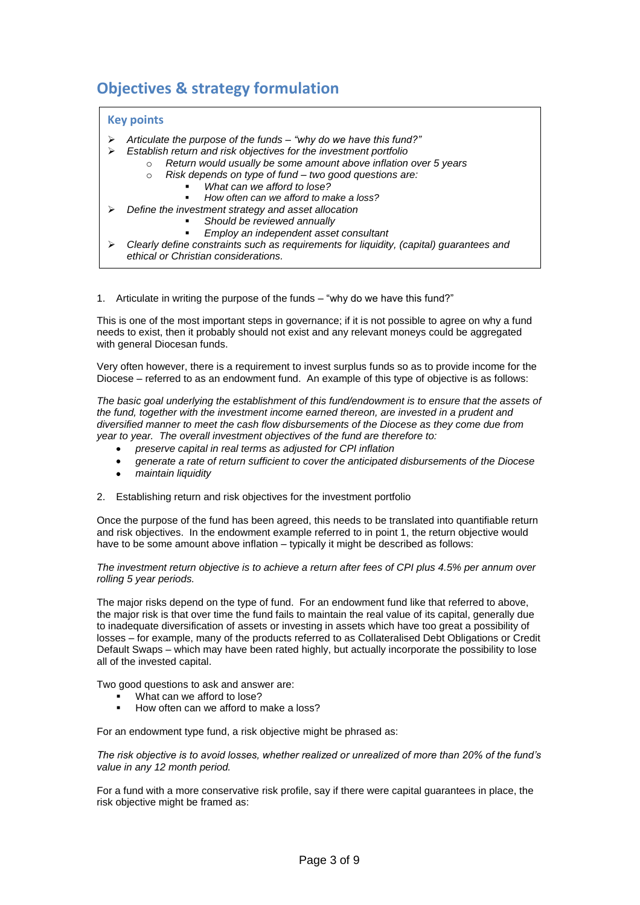# **Objectives & strategy formulation**

#### **Key points**

- *Articulate the purpose of the funds – "why do we have this fund?"*
	- *Establish return and risk objectives for the investment portfolio*
		- o *Return would usually be some amount above inflation over 5 years*
		- o *Risk depends on type of fund – two good questions are:*
			- *What can we afford to lose?*

*Should be reviewed annually*

- *How often can we afford to make a loss?*
- *Define the investment strategy and asset allocation*
	- *Should be reviewed annually*
		- *Employ an independent asset consultant*
- *Clearly define constraints such as requirements for liquidity, (capital) guarantees and ethical or Christian considerations.*

1. Articulate in writing the purpose of the funds – "why do we have this fund?" *Christian considerations.*

This is one of the most important steps in governance; if it is not possible to agree on why a fund needs to exist, then it probably should not exist and any relevant moneys could be aggregated with general Diocesan funds.

Very often however, there is a requirement to invest surplus funds so as to provide income for the Diocese – referred to as an endowment fund. An example of this type of objective is as follows:

*The basic goal underlying the establishment of this fund/endowment is to ensure that the assets of the fund, together with the investment income earned thereon, are invested in a prudent and diversified manner to meet the cash flow disbursements of the Diocese as they come due from year to year. The overall investment objectives of the fund are therefore to:*

- *preserve capital in real terms as adjusted for CPI inflation*
- *generate a rate of return sufficient to cover the anticipated disbursements of the Diocese*
- *maintain liquidity*
- 2. Establishing return and risk objectives for the investment portfolio

Once the purpose of the fund has been agreed, this needs to be translated into quantifiable return and risk objectives. In the endowment example referred to in point 1, the return objective would have to be some amount above inflation – typically it might be described as follows:

#### *The investment return objective is to achieve a return after fees of CPI plus 4.5% per annum over rolling 5 year periods.*

The major risks depend on the type of fund. For an endowment fund like that referred to above, the major risk is that over time the fund fails to maintain the real value of its capital, generally due to inadequate diversification of assets or investing in assets which have too great a possibility of losses – for example, many of the products referred to as Collateralised Debt Obligations or Credit Default Swaps – which may have been rated highly, but actually incorporate the possibility to lose all of the invested capital.

Two good questions to ask and answer are:

- What can we afford to lose?
- How often can we afford to make a loss?

For an endowment type fund, a risk objective might be phrased as:

*The risk objective is to avoid losses, whether realized or unrealized of more than 20% of the fund's value in any 12 month period.*

For a fund with a more conservative risk profile, say if there were capital guarantees in place, the risk objective might be framed as: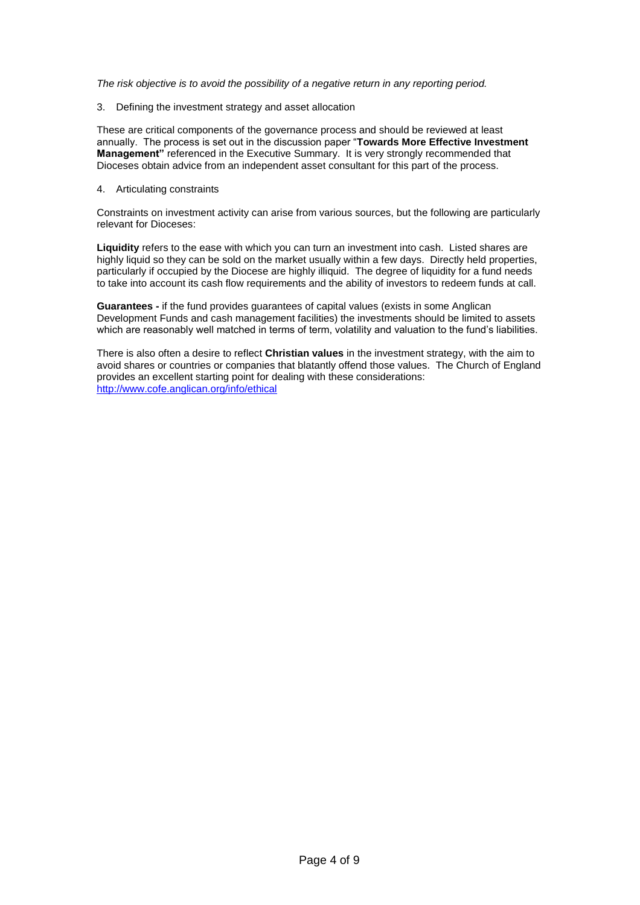*The risk objective is to avoid the possibility of a negative return in any reporting period.*

3. Defining the investment strategy and asset allocation

These are critical components of the governance process and should be reviewed at least annually. The process is set out in the discussion paper "**Towards More Effective Investment Management"** referenced in the Executive Summary. It is very strongly recommended that Dioceses obtain advice from an independent asset consultant for this part of the process.

#### 4. Articulating constraints

Constraints on investment activity can arise from various sources, but the following are particularly relevant for Dioceses:

**Liquidity** refers to the ease with which you can turn an investment into cash. Listed shares are highly liquid so they can be sold on the market usually within a few days. Directly held properties, particularly if occupied by the Diocese are highly illiquid. The degree of liquidity for a fund needs to take into account its cash flow requirements and the ability of investors to redeem funds at call.

**Guarantees -** if the fund provides guarantees of capital values (exists in some Anglican Development Funds and cash management facilities) the investments should be limited to assets which are reasonably well matched in terms of term, volatility and valuation to the fund's liabilities.

There is also often a desire to reflect **Christian values** in the investment strategy, with the aim to avoid shares or countries or companies that blatantly offend those values. The Church of England provides an excellent starting point for dealing with these considerations: http://www.cofe.anglican.org/info/ethical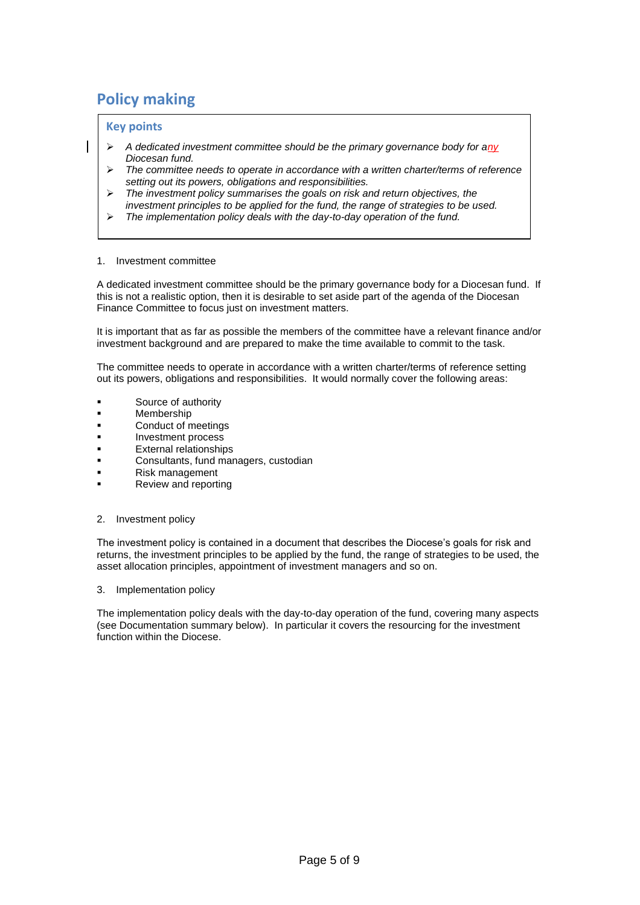# **Policy making**

#### **Key points**

- *A dedicated investment committee should be the primary governance body for any Diocesan fund.*
- *The committee needs to operate in accordance with a written charter/terms of reference setting out its powers, obligations and responsibilities.*
- *The investment policy summarises the goals on risk and return objectives, the investment principles to be applied for the fund, the range of strategies to be used.*
- *The implementation policy deals with the day-to-day operation of the fund.*

#### 1. Investment committee

A dedicated investment committee should be the primary governance body for a Diocesan fund. If this is not a realistic option, then it is desirable to set aside part of the agenda of the Diocesan Finance Committee to focus just on investment matters.

It is important that as far as possible the members of the committee have a relevant finance and/or investment background and are prepared to make the time available to commit to the task.

The committee needs to operate in accordance with a written charter/terms of reference setting out its powers, obligations and responsibilities. It would normally cover the following areas:

- Source of authority
- Membership
- Conduct of meetings
- Investment process
- External relationships
- Consultants, fund managers, custodian
- Risk management
- Review and reporting

#### 2. Investment policy

The investment policy is contained in a document that describes the Diocese's goals for risk and returns, the investment principles to be applied by the fund, the range of strategies to be used, the asset allocation principles, appointment of investment managers and so on.

#### 3. Implementation policy

The implementation policy deals with the day-to-day operation of the fund, covering many aspects (see Documentation summary below). In particular it covers the resourcing for the investment function within the Diocese.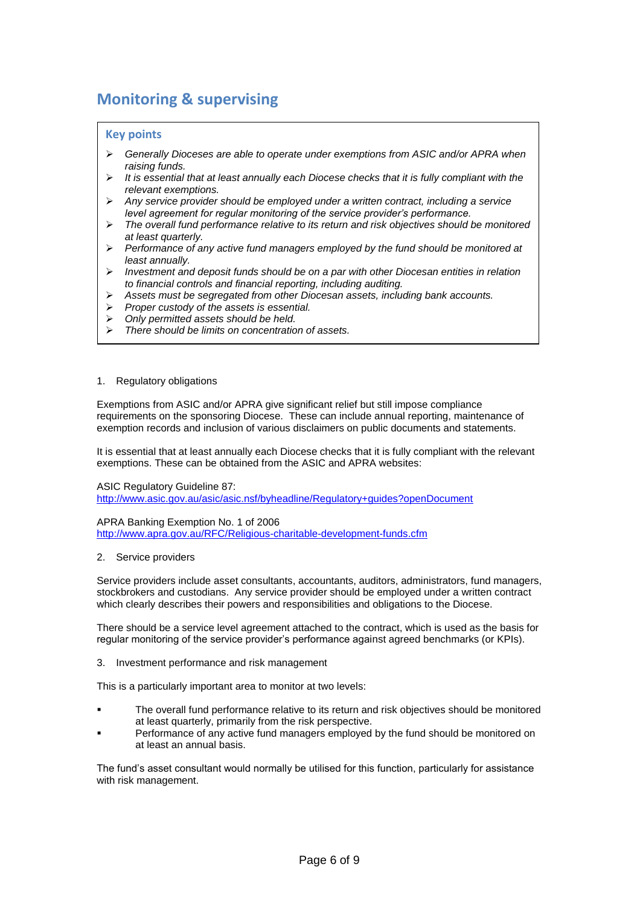# **Monitoring & supervising**

#### **Key points**

- *Generally Dioceses are able to operate under exemptions from ASIC and/or APRA when raising funds.*
- *It is essential that at least annually each Diocese checks that it is fully compliant with the relevant exemptions.*
- *Any service provider should be employed under a written contract, including a service level agreement for regular monitoring of the service provider's performance.*
- *The overall fund performance relative to its return and risk objectives should be monitored at least quarterly.*
- *Performance of any active fund managers employed by the fund should be monitored at least annually.*
- *Investment and deposit funds should be on a par with other Diocesan entities in relation to financial controls and financial reporting, including auditing.*
- *Assets must be segregated from other Diocesan assets, including bank accounts.*
- *Proper custody of the assets is essential.*
- *Only permitted assets should be held.*
- *There should be limits on concentration of assets.*

#### 1. Regulatory obligations

Exemptions from ASIC and/or APRA give significant relief but still impose compliance requirements on the sponsoring Diocese. These can include annual reporting, maintenance of exemption records and inclusion of various disclaimers on public documents and statements.

It is essential that at least annually each Diocese checks that it is fully compliant with the relevant exemptions. These can be obtained from the ASIC and APRA websites:

ASIC Regulatory Guideline 87:

http://www.asic.gov.au/asic/asic.nsf/byheadline/Regulatory+guides?openDocument

APRA Banking Exemption No. 1 of 2006 http://www.apra.gov.au/RFC/Religious-charitable-development-funds.cfm

#### 2. Service providers

Service providers include asset consultants, accountants, auditors, administrators, fund managers, stockbrokers and custodians. Any service provider should be employed under a written contract which clearly describes their powers and responsibilities and obligations to the Diocese.

There should be a service level agreement attached to the contract, which is used as the basis for regular monitoring of the service provider's performance against agreed benchmarks (or KPIs).

3. Investment performance and risk management

This is a particularly important area to monitor at two levels:

- The overall fund performance relative to its return and risk objectives should be monitored at least quarterly, primarily from the risk perspective.
- Performance of any active fund managers employed by the fund should be monitored on at least an annual basis.

The fund's asset consultant would normally be utilised for this function, particularly for assistance with risk management.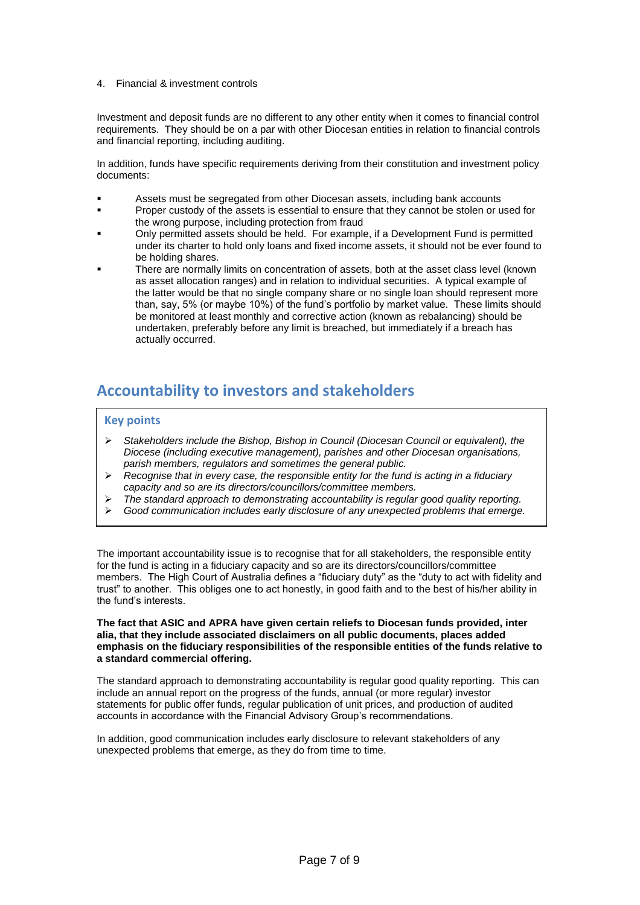#### 4. Financial & investment controls

Investment and deposit funds are no different to any other entity when it comes to financial control requirements. They should be on a par with other Diocesan entities in relation to financial controls and financial reporting, including auditing.

In addition, funds have specific requirements deriving from their constitution and investment policy documents:

- Assets must be segregated from other Diocesan assets, including bank accounts
- Proper custody of the assets is essential to ensure that they cannot be stolen or used for the wrong purpose, including protection from fraud
- Only permitted assets should be held. For example, if a Development Fund is permitted under its charter to hold only loans and fixed income assets, it should not be ever found to be holding shares.
- There are normally limits on concentration of assets, both at the asset class level (known as asset allocation ranges) and in relation to individual securities. A typical example of the latter would be that no single company share or no single loan should represent more than, say, 5% (or maybe 10%) of the fund's portfolio by market value. These limits should be monitored at least monthly and corrective action (known as rebalancing) should be undertaken, preferably before any limit is breached, but immediately if a breach has actually occurred.

### **Accountability to investors and stakeholders**

#### **Key points**

- *Stakeholders include the Bishop, Bishop in Council (Diocesan Council or equivalent), the Diocese (including executive management), parishes and other Diocesan organisations, parish members, regulators and sometimes the general public.*
- *Recognise that in every case, the responsible entity for the fund is acting in a fiduciary capacity and so are its directors/councillors/committee members.*
- *The standard approach to demonstrating accountability is regular good quality reporting.*
- *Good communication includes early disclosure of any unexpected problems that emerge.*

The important accountability issue is to recognise that for all stakeholders, the responsible entity for the fund is acting in a fiduciary capacity and so are its directors/councillors/committee members. The High Court of Australia defines a "fiduciary duty" as the "duty to act with fidelity and trust" to another. This obliges one to act honestly, in good faith and to the best of his/her ability in the fund's interests.

#### **The fact that ASIC and APRA have given certain reliefs to Diocesan funds provided, inter alia, that they include associated disclaimers on all public documents, places added emphasis on the fiduciary responsibilities of the responsible entities of the funds relative to a standard commercial offering.**

The standard approach to demonstrating accountability is regular good quality reporting. This can include an annual report on the progress of the funds, annual (or more regular) investor statements for public offer funds, regular publication of unit prices, and production of audited accounts in accordance with the Financial Advisory Group's recommendations.

In addition, good communication includes early disclosure to relevant stakeholders of any unexpected problems that emerge, as they do from time to time.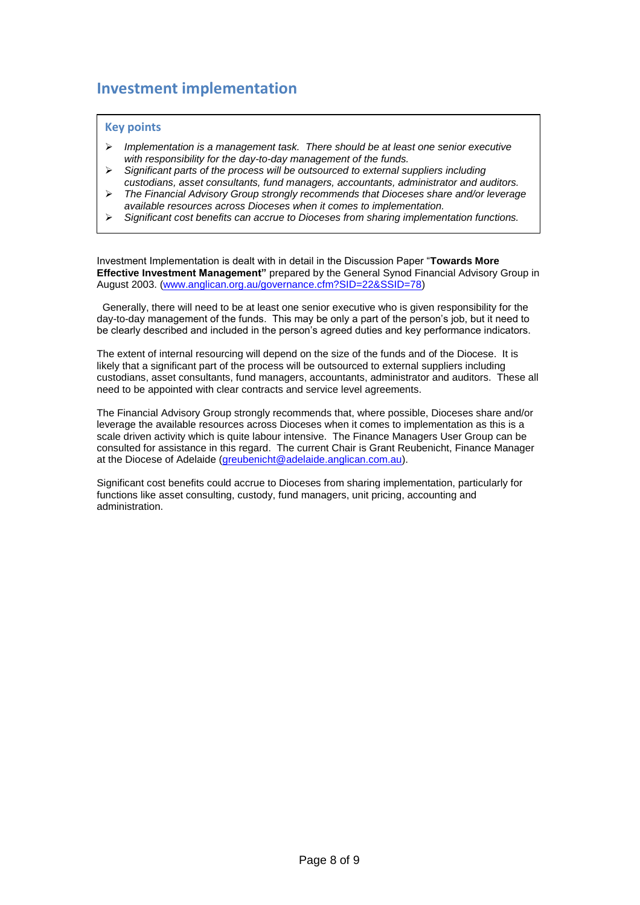## **Investment implementation**

#### **Key points**

- *Implementation is a management task. There should be at least one senior executive with responsibility for the day-to-day management of the funds.*
- *Significant parts of the process will be outsourced to external suppliers including custodians, asset consultants, fund managers, accountants, administrator and auditors.*
- *The Financial Advisory Group strongly recommends that Dioceses share and/or leverage available resources across Dioceses when it comes to implementation.*
- *Significant cost benefits can accrue to Dioceses from sharing implementation functions.*

Investment Implementation is dealt with in detail in the Discussion Paper "**Towards More Effective Investment Management"** prepared by the General Synod Financial Advisory Group in August 2003. (www.anglican.org.au/governance.cfm?SID=22&SSID=78)

 Generally, there will need to be at least one senior executive who is given responsibility for the day-to-day management of the funds. This may be only a part of the person's job, but it need to be clearly described and included in the person's agreed duties and key performance indicators.

The extent of internal resourcing will depend on the size of the funds and of the Diocese. It is likely that a significant part of the process will be outsourced to external suppliers including custodians, asset consultants, fund managers, accountants, administrator and auditors. These all need to be appointed with clear contracts and service level agreements.

The Financial Advisory Group strongly recommends that, where possible, Dioceses share and/or leverage the available resources across Dioceses when it comes to implementation as this is a scale driven activity which is quite labour intensive. The Finance Managers User Group can be consulted for assistance in this regard. The current Chair is Grant Reubenicht, Finance Manager at the Diocese of Adelaide [\(greubenicht@adelaide.anglican.com.au\)](mailto:greubenicht@adelaide.anglican.com.au).

Significant cost benefits could accrue to Dioceses from sharing implementation, particularly for functions like asset consulting, custody, fund managers, unit pricing, accounting and administration.